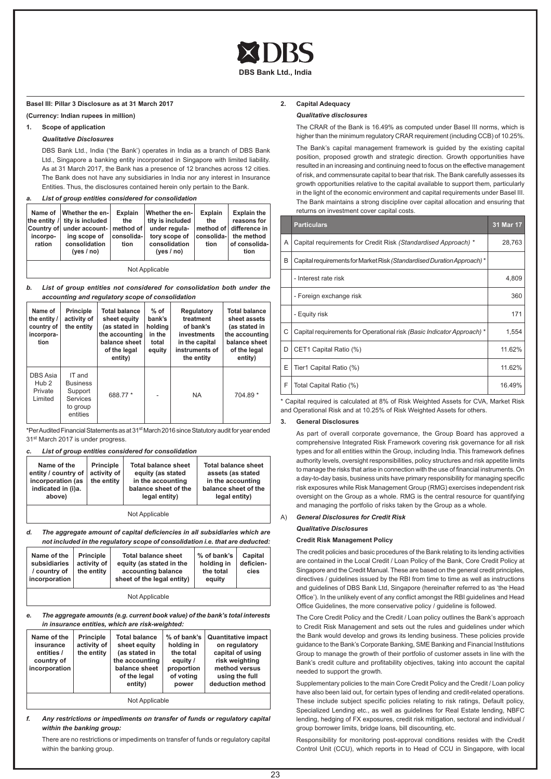

**DBS Bank Ltd., India** 

### **Basel III: Pillar 3 Disclosure as at 31 March 2017**

**(Currency: Indian rupees in million)**

# **1. Scope of application**

### *Qualitative Disclosures*

DBS Bank Ltd., India ('the Bank') operates in India as a branch of DBS Bank Ltd., Singapore a banking entity incorporated in Singapore with limited liability. As at 31 March 2017, the Bank has a presence of 12 branches across 12 cities. The Bank does not have any subsidiaries in India nor any interest in Insurance Entities. Thus, the disclosures contained herein only pertain to the Bank.

*a. List of group entities considered for consolidation*

|                    | Name of   Whether the en-<br>the entity / tity is included | <b>Explain</b><br>the | Whether the en-<br>tity is included                                                                                                                                | <b>Explain</b><br>the | <b>Explain the</b><br>reasons for |
|--------------------|------------------------------------------------------------|-----------------------|--------------------------------------------------------------------------------------------------------------------------------------------------------------------|-----------------------|-----------------------------------|
| incorpo-<br>ration | ing scope of<br>consolidation<br>ives / no)                | consolida-l<br>tion   | Country of under account- $ $ method of $ $ under regula- $ $ method of $ $ difference in<br>tory scope of   consolida-  the method<br>consolidation<br>ives / no) | tion                  | of consolida-<br>tion             |

Not Applicable

### *b. List of group entities not considered for consolidation both under the accounting and regulatory scope of consolidation*

| Name of<br>the entity /<br>country of<br>incorpora-<br>tion | <b>Principle</b><br>activity of<br>the entity                                   | <b>Total balance</b><br>sheet equity<br>(as stated in<br>the accounting<br>balance sheet<br>of the legal<br>entity) | $%$ of<br>bank's<br>holding<br>in the<br>total<br>equity | Regulatory<br>treatment<br>of bank's<br>investments<br>in the capital<br>instruments of<br>the entity | <b>Total balance</b><br>sheet assets<br>(as stated in<br>the accounting<br>balance sheet<br>of the legal<br>entity) |
|-------------------------------------------------------------|---------------------------------------------------------------------------------|---------------------------------------------------------------------------------------------------------------------|----------------------------------------------------------|-------------------------------------------------------------------------------------------------------|---------------------------------------------------------------------------------------------------------------------|
| DBS Asia<br>Hub <sub>2</sub><br>Private<br>Limited          | IT and<br><b>Business</b><br>Support<br><b>Services</b><br>to group<br>entities | 688.77 *                                                                                                            |                                                          | <b>NA</b>                                                                                             | 704.89 *                                                                                                            |

\*Per Audited Financial Statements as at 31st March 2016 since Statutory audit for year ended 31<sup>st</sup> March 2017 is under progress.

# *c. List of group entities considered for consolidation*

| Name of the<br>entity / country of  <br>incorporation (as<br>indicated in (i)a.<br>above) | <b>Principle</b><br>activity of<br>the entity | <b>Total balance sheet</b><br>equity (as stated<br>in the accounting<br>balance sheet of the<br>legal entity) | <b>Total balance sheet</b><br>assets (as stated<br>in the accounting<br>balance sheet of the<br>legal entity) |
|-------------------------------------------------------------------------------------------|-----------------------------------------------|---------------------------------------------------------------------------------------------------------------|---------------------------------------------------------------------------------------------------------------|
|                                                                                           |                                               | Not Applicable                                                                                                |                                                                                                               |

*d. The aggregate amount of capital deficiencies in all subsidiaries which are not included in the regulatory scope of consolidation i.e. that are deducted:*

| Name of the<br>subsidiaries<br>/ country of<br>incorporation | <b>Principle</b><br>activity of<br>the entity | <b>Total balance sheet</b><br>equity (as stated in the<br>accounting balance<br>sheet of the legal entity) | % of bank's<br>holding in<br>the total<br>equity | Capital<br>deficien-<br>cies |  |  |  |
|--------------------------------------------------------------|-----------------------------------------------|------------------------------------------------------------------------------------------------------------|--------------------------------------------------|------------------------------|--|--|--|
| Not Applicable                                               |                                               |                                                                                                            |                                                  |                              |  |  |  |

*e. The aggregate amounts (e.g. current book value) of the bank's total interests in insurance entities, which are risk-weighted:*

| Name of the<br>insurance<br>entities /<br>country of<br>incorporation | Principle<br>activity of<br>the entity | <b>Total balance</b><br>sheet equity<br>(as stated in<br>the accounting<br>balance sheet<br>of the legal<br>entity) | % of bank's<br>holding in<br>the total<br>equity /<br>proportion<br>of voting<br>power | <b>Quantitative impact</b><br>on regulatory<br>capital of using<br>risk weighting<br>method versus<br>using the full<br>deduction method |  |  |
|-----------------------------------------------------------------------|----------------------------------------|---------------------------------------------------------------------------------------------------------------------|----------------------------------------------------------------------------------------|------------------------------------------------------------------------------------------------------------------------------------------|--|--|
| Not Applicable                                                        |                                        |                                                                                                                     |                                                                                        |                                                                                                                                          |  |  |

# *f. Any restrictions or impediments on transfer of funds or regulatory capital within the banking group:*

There are no restrictions or impediments on transfer of funds or regulatory capital within the banking group.

# **2. Capital Adequacy**

# *Qualitative disclosures*

The CRAR of the Bank is 16.49% as computed under Basel III norms, which is higher than the minimum regulatory CRAR requirement (including CCB) of 10.25%.

The Bank's capital management framework is guided by the existing capital position, proposed growth and strategic direction. Growth opportunities have resulted in an increasing and continuing need to focus on the effective management of risk, and commensurate capital to bear that risk. The Bank carefully assesses its growth opportunities relative to the capital available to support them, particularly in the light of the economic environment and capital requirements under Basel III. The Bank maintains a strong discipline over capital allocation and ensuring that returns on investment cover capital costs.

|   | <b>Particulars</b>                                                      | 31 Mar 17 |
|---|-------------------------------------------------------------------------|-----------|
| A | Capital requirements for Credit Risk (Standardised Approach) *          | 28,763    |
| B | Capital requirements for Market Risk (Standardised Duration Approach) * |           |
|   | - Interest rate risk                                                    | 4,809     |
|   | - Foreign exchange risk                                                 | 360       |
|   | - Equity risk                                                           | 171       |
| C | Capital requirements for Operational risk (Basic Indicator Approach) *  | 1,554     |
| D | CET1 Capital Ratio (%)                                                  | 11.62%    |
| Ε | Tier1 Capital Ratio (%)                                                 | 11.62%    |
| F | Total Capital Ratio (%)                                                 | 16.49%    |

\* Capital required is calculated at 8% of Risk Weighted Assets for CVA, Market Risk and Operational Risk and at 10.25% of Risk Weighted Assets for others.

# **3. General Disclosures**

As part of overall corporate governance, the Group Board has approved a comprehensive Integrated Risk Framework covering risk governance for all risk types and for all entities within the Group, including India. This framework defines authority levels, oversight responsibilities, policy structures and risk appetite limits to manage the risks that arise in connection with the use of financial instruments. On a day-to-day basis, business units have primary responsibility for managing specific risk exposures while Risk Management Group (RMG) exercises independent risk oversight on the Group as a whole. RMG is the central resource for quantifying and managing the portfolio of risks taken by the Group as a whole.

### A) *General Disclosures for Credit Risk*

#### *Qualitative Disclosures*

### **Credit Risk Management Policy**

The credit policies and basic procedures of the Bank relating to its lending activities are contained in the Local Credit / Loan Policy of the Bank, Core Credit Policy at Singapore and the Credit Manual. These are based on the general credit principles, directives / guidelines issued by the RBI from time to time as well as instructions and guidelines of DBS Bank Ltd, Singapore (hereinafter referred to as 'the Head Office'). In the unlikely event of any conflict amongst the RBI guidelines and Head Office Guidelines, the more conservative policy / guideline is followed.

The Core Credit Policy and the Credit / Loan policy outlines the Bank's approach to Credit Risk Management and sets out the rules and guidelines under which the Bank would develop and grows its lending business. These policies provide guidance to the Bank's Corporate Banking, SME Banking and Financial Institutions Group to manage the growth of their portfolio of customer assets in line with the Bank's credit culture and profitability objectives, taking into account the capital needed to support the growth.

Supplementary policies to the main Core Credit Policy and the Credit / Loan policy have also been laid out, for certain types of lending and credit-related operations. These include subject specific policies relating to risk ratings, Default policy, Specialized Lending etc., as well as guidelines for Real Estate lending, NBFC lending, hedging of FX exposures, credit risk mitigation, sectoral and individual / group borrower limits, bridge loans, bill discounting, etc.

Responsibility for monitoring post-approval conditions resides with the Credit Control Unit (CCU), which reports in to Head of CCU in Singapore, with local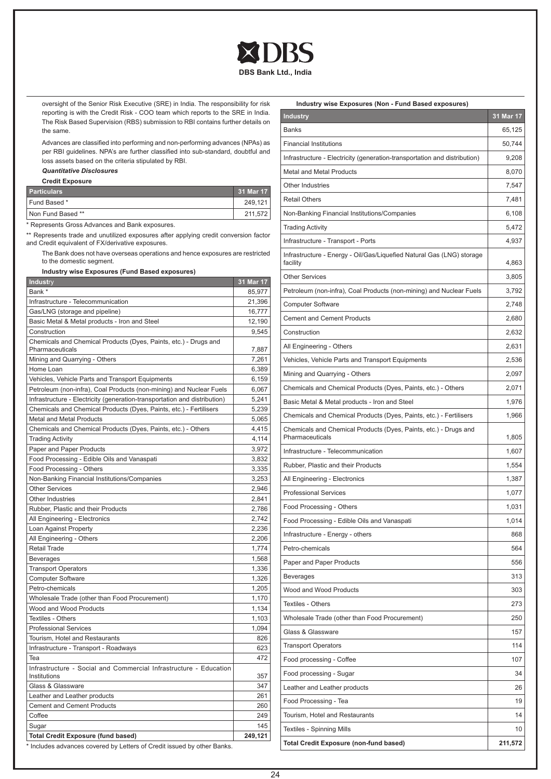

oversight of the Senior Risk Executive (SRE) in India. The responsibility for risk reporting is with the Credit Risk - COO team which reports to the SRE in India. The Risk Based Supervision (RBS) submission to RBI contains further details on the same.

Advances are classified into performing and non-performing advances (NPAs) as per RBI guidelines. NPA's are further classified into sub-standard, doubtful and loss assets based on the criteria stipulated by RBI.

# *Quantitative Disclosures*

**Credit Exposure**

| <b>Particulars</b> | 31 Mar 17 |
|--------------------|-----------|
| Fund Based *       | 249,121   |
| Non Fund Based **  | 211,572   |

\* Represents Gross Advances and Bank exposures.

\*\* Represents trade and unutilized exposures after applying credit conversion factor and Credit equivalent of FX/derivative exposures.

The Bank does not have overseas operations and hence exposures are restricted to the domestic segment.

# **Industry wise Exposures (Fund Based exposures)**

| <b>Industry</b>                                                                     | 31 Mar 17 |
|-------------------------------------------------------------------------------------|-----------|
| Bank *                                                                              | 85,977    |
| Infrastructure - Telecommunication                                                  | 21,396    |
| Gas/LNG (storage and pipeline)                                                      | 16,777    |
| Basic Metal & Metal products - Iron and Steel                                       | 12,190    |
| Construction                                                                        | 9,545     |
| Chemicals and Chemical Products (Dyes, Paints, etc.) - Drugs and<br>Pharmaceuticals | 7,887     |
| Mining and Quarrying - Others                                                       | 7,261     |
| Home Loan                                                                           | 6,389     |
| Vehicles, Vehicle Parts and Transport Equipments                                    | 6,159     |
| Petroleum (non-infra), Coal Products (non-mining) and Nuclear Fuels                 | 6,067     |
| Infrastructure - Electricity (generation-transportation and distribution)           | 5,241     |
| Chemicals and Chemical Products (Dyes, Paints, etc.) - Fertilisers                  | 5,239     |
| <b>Metal and Metal Products</b>                                                     | 5,065     |
|                                                                                     | 4,415     |
| Chemicals and Chemical Products (Dyes, Paints, etc.) - Others                       |           |
| <b>Trading Activity</b>                                                             | 4,114     |
| Paper and Paper Products                                                            | 3,972     |
| Food Processing - Edible Oils and Vanaspati                                         | 3,832     |
| Food Processing - Others                                                            | 3,335     |
| Non-Banking Financial Institutions/Companies                                        | 3,253     |
| <b>Other Services</b>                                                               | 2,946     |
| Other Industries                                                                    | 2,841     |
| Rubber, Plastic and their Products                                                  | 2,786     |
| All Engineering - Electronics                                                       | 2,742     |
| Loan Against Property                                                               | 2,236     |
| All Engineering - Others                                                            | 2,206     |
| Retail Trade                                                                        | 1,774     |
| <b>Beverages</b>                                                                    | 1,568     |
| <b>Transport Operators</b>                                                          | 1,336     |
| <b>Computer Software</b>                                                            | 1,326     |
| Petro-chemicals                                                                     | 1,205     |
| Wholesale Trade (other than Food Procurement)                                       | 1,170     |
| Wood and Wood Products                                                              | 1,134     |
| <b>Textiles - Others</b>                                                            | 1,103     |
| <b>Professional Services</b>                                                        | 1,094     |
| Tourism, Hotel and Restaurants                                                      | 826       |
| Infrastructure - Transport - Roadways                                               | 623       |
| Tea                                                                                 | 472       |
| Infrastructure - Social and Commercial Infrastructure - Education                   |           |
| Institutions                                                                        | 357       |
| Glass & Glassware                                                                   | 347       |
| Leather and Leather products                                                        | 261       |
| <b>Cement and Cement Products</b>                                                   | 260       |
| Coffee                                                                              | 249       |
| Sugar                                                                               | 145       |
| <b>Total Credit Exposure (fund based)</b>                                           | 249,121   |
| * Includes advances covered by Letters of Credit issued by other Banks.             |           |

# **Industry wise Exposures (Non - Fund Based exposures)**

| <b>Industry</b>                                                                     | 31 Mar 17 |
|-------------------------------------------------------------------------------------|-----------|
| Banks                                                                               | 65,125    |
| <b>Financial Institutions</b>                                                       | 50,744    |
| Infrastructure - Electricity (generation-transportation and distribution)           | 9,208     |
| <b>Metal and Metal Products</b>                                                     | 8,070     |
| <b>Other Industries</b>                                                             | 7,547     |
| <b>Retail Others</b>                                                                | 7,481     |
| Non-Banking Financial Institutions/Companies                                        | 6,108     |
| <b>Trading Activity</b>                                                             | 5,472     |
| Infrastructure - Transport - Ports                                                  | 4,937     |
| Infrastructure - Energy - Oil/Gas/Liquefied Natural Gas (LNG) storage<br>facility   | 4,863     |
| <b>Other Services</b>                                                               | 3,805     |
| Petroleum (non-infra), Coal Products (non-mining) and Nuclear Fuels                 | 3,792     |
| <b>Computer Software</b>                                                            | 2,748     |
| <b>Cement and Cement Products</b>                                                   | 2,680     |
| Construction                                                                        | 2,632     |
| All Engineering - Others                                                            | 2,631     |
| Vehicles, Vehicle Parts and Transport Equipments                                    | 2,536     |
| Mining and Quarrying - Others                                                       | 2,097     |
| Chemicals and Chemical Products (Dyes, Paints, etc.) - Others                       | 2,071     |
| Basic Metal & Metal products - Iron and Steel                                       | 1,976     |
| Chemicals and Chemical Products (Dyes, Paints, etc.) - Fertilisers                  | 1,966     |
| Chemicals and Chemical Products (Dyes, Paints, etc.) - Drugs and<br>Pharmaceuticals | 1,805     |
| Infrastructure - Telecommunication                                                  | 1,607     |
| Rubber, Plastic and their Products                                                  | 1,554     |
| All Engineering - Electronics                                                       | 1,387     |
| <b>Professional Services</b>                                                        | 1,077     |
| Food Processing - Others                                                            | 1,031     |
| Food Processing - Edible Oils and Vanaspati                                         | 1,014     |
| Infrastructure - Energy - others                                                    | 868       |
| Petro-chemicals                                                                     | 564       |
| Paper and Paper Products                                                            | 556       |
| <b>Beverages</b>                                                                    | 313       |
| Wood and Wood Products                                                              | 303       |
| Textiles - Others                                                                   | 273       |
| Wholesale Trade (other than Food Procurement)                                       | 250       |
| Glass & Glassware                                                                   | 157       |
| <b>Transport Operators</b>                                                          | 114       |
| Food processing - Coffee                                                            | 107       |
| Food processing - Sugar                                                             | 34        |
| Leather and Leather products                                                        | 26        |
| Food Processing - Tea                                                               | 19        |
| Tourism, Hotel and Restaurants                                                      | 14        |
| Textiles - Spinning Mills                                                           | 10        |
| Total Credit Exposure (non-fund based)                                              | 211,572   |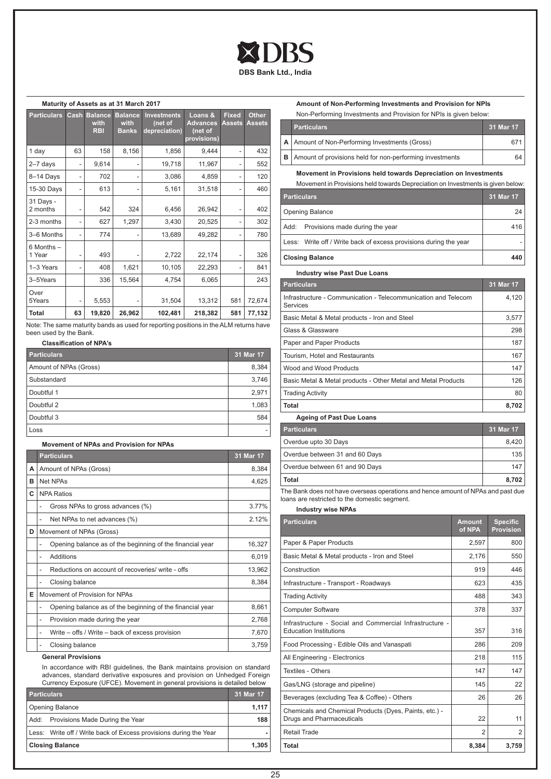

### **Maturity of Assets as at 31 March 2017**

| <b>Particulars</b>       | Cash                         | <b>Balance</b><br>with<br><b>RBI</b> | <b>Balance</b><br>with<br><b>Banks</b> | <b>Investments</b><br>(net of<br>depreciation) | Loans &<br><b>Advances</b><br>(net of<br>provisions) | <b>Fixed</b><br><b>Assets</b> | <b>Other</b><br><b>Assets</b> |
|--------------------------|------------------------------|--------------------------------------|----------------------------------------|------------------------------------------------|------------------------------------------------------|-------------------------------|-------------------------------|
| 1 day                    | 63                           | 158                                  | 8,156                                  | 1,856                                          | 9.444                                                | ۰                             | 432                           |
| $2 - 7$ days             | ٠                            | 9,614                                |                                        | 19,718                                         | 11,967                                               |                               | 552                           |
| 8-14 Days                | ٠                            | 702                                  |                                        | 3,086                                          | 4,859                                                |                               | 120                           |
| 15-30 Days               | ٠                            | 613                                  | ۰                                      | 5,161                                          | 31,518                                               |                               | 460                           |
| 31 Days -<br>2 months    | $\qquad \qquad \blacksquare$ | 542                                  | 324                                    | 6,456                                          | 26,942                                               |                               | 402                           |
| 2-3 months               | ٠                            | 627                                  | 1,297                                  | 3,430                                          | 20,525                                               |                               | 302                           |
| 3-6 Months               | ٠                            | 774                                  | ۰                                      | 13,689                                         | 49,282                                               | ۰                             | 780                           |
| $6$ Months $-$<br>1 Year | -                            | 493                                  |                                        | 2,722                                          | 22,174                                               |                               | 326                           |
| 1-3 Years                | -                            | 408                                  | 1,621                                  | 10,105                                         | 22,293                                               |                               | 841                           |
| 3-5Years                 |                              | 336                                  | 15,564                                 | 4,754                                          | 6,065                                                |                               | 243                           |
| Over<br>5Years           | $\overline{\phantom{0}}$     | 5,553                                |                                        | 31,504                                         | 13,312                                               | 581                           | 72,674                        |
| Total                    | 63                           | 19,820                               | 26,962                                 | 102,481                                        | 218,382                                              | 581                           | 77,132                        |

Note: The same maturity bands as used for reporting positions in the ALM returns have been used by the Bank.

# **Classification of NPA's**

**Movement of NPAs and Provision for NPAs**

| <b>Particulars</b>     | 31 Mar 17 |
|------------------------|-----------|
| Amount of NPAs (Gross) | 8,384     |
| Substandard            | 3,746     |
| Doubtful 1             | 2,971     |
| Doubtful 2             | 1,083     |
| Doubtful 3             | 584       |
| Loss                   |           |

|   | <b>Particulars</b>                                             | 31 Mar 17 |
|---|----------------------------------------------------------------|-----------|
| А | Amount of NPAs (Gross)                                         | 8,384     |
| в | Net NPAs                                                       | 4,625     |
| C | <b>NPA Ratios</b>                                              |           |
|   | Gross NPAs to gross advances (%)                               | 3.77%     |
|   | Net NPAs to net advances (%)<br>۰                              | 2.12%     |
| D | Movement of NPAs (Gross)                                       |           |
|   | Opening balance as of the beginning of the financial year      | 16,327    |
|   | Additions<br>۰                                                 | 6,019     |
|   | Reductions on account of recoveries/ write - offs<br>۰         | 13,962    |
|   | Closing balance                                                | 8,384     |
| E | Movement of Provision for NPAs                                 |           |
|   | Opening balance as of the beginning of the financial year<br>۰ | 8,661     |
|   | Provision made during the year<br>٠                            | 2,768     |
|   | Write - offs / Write - back of excess provision<br>۰           | 7,670     |
|   | Closing balance                                                | 3,759     |

# **General Provisions**

In accordance with RBI guidelines, the Bank maintains provision on standard advances, standard derivative exposures and provision on Unhedged Foreign Currency Exposure (UFCE). Movement in general provisions is detailed below

| <b>Particulars</b>     |                                                                   | 31 Mar 17 |
|------------------------|-------------------------------------------------------------------|-----------|
|                        | <b>Opening Balance</b>                                            | 1.117     |
|                        | Add: Provisions Made During the Year                              | 188       |
|                        | Less: Write off / Write back of Excess provisions during the Year |           |
| <b>Closing Balance</b> |                                                                   | 1.305     |

# **Amount of Non-Performing Investments and Provision for NPIs** Non-Performing Investments and Provision for NPIs is given below:

| <u>FOLLE CITOLITING INVOCINGING QHU E TOVIGION TOL PILLO IS QIVON DOIOW.</u> |                                                                     |           |
|------------------------------------------------------------------------------|---------------------------------------------------------------------|-----------|
|                                                                              | <b>Particulars</b>                                                  | 31 Mar 17 |
|                                                                              | A   Amount of Non-Performing Investments (Gross)                    |           |
|                                                                              | <b>B</b>   Amount of provisions held for non-performing investments | 64        |

### **Movement in Provisions held towards Depreciation on Investments**

| Movement in Provisions held towards Depreciation on Investments is given below: |           |
|---------------------------------------------------------------------------------|-----------|
| <b>Particulars</b>                                                              | 31 Mar 17 |
| <b>Opening Balance</b>                                                          | 24        |
| Add: Provisions made during the year                                            | 416       |
| Less: Write off / Write back of excess provisions during the year               |           |
| <b>Closing Balance</b>                                                          | 440       |

# **Industry wise Past Due Loans Particulars 31 Mar 17** Infrastructure - Communication - Telecommunication and Telecom Services 4,120 Basic Metal & Metal products - Iron and Steel 3,577 Glass & Glassware 298 Paper and Paper Products 187 Tourism, Hotel and Restaurants 167 Wood and Wood Products 147 Basic Metal & Metal products - Other Metal and Metal Products | 126 Trading Activity 80 **Total 8,702**

**Ageing of Past Due Loans**

| <b>Particulars</b>             | 31 Mar 17 |
|--------------------------------|-----------|
| Overdue upto 30 Days           | 8.420     |
| Overdue between 31 and 60 Days | 135       |
| Overdue between 61 and 90 Days | 147       |
| <b>Total</b>                   | 8,702     |

The Bank does not have overseas operations and hence amount of NPAs and past due loans are restricted to the domestic segment.

**Industry wise NPAs**

| <b>Particulars</b>                                                                       | <b>Amount</b><br>of NPA | <b>Specific</b><br><b>Provision</b> |
|------------------------------------------------------------------------------------------|-------------------------|-------------------------------------|
| Paper & Paper Products                                                                   | 2,597                   | 800                                 |
| Basic Metal & Metal products - Iron and Steel                                            | 2,176                   | 550                                 |
| Construction                                                                             | 919                     | 446                                 |
| Infrastructure - Transport - Roadways                                                    | 623                     | 435                                 |
| <b>Trading Activity</b>                                                                  | 488                     | 343                                 |
| <b>Computer Software</b>                                                                 | 378                     | 337                                 |
| Infrastructure - Social and Commercial Infrastructure -<br><b>Education Institutions</b> | 357                     | 316                                 |
| Food Processing - Edible Oils and Vanaspati                                              | 286                     | 209                                 |
| All Engineering - Electronics                                                            | 218                     | 115                                 |
| <b>Textiles - Others</b>                                                                 | 147                     | 147                                 |
| Gas/LNG (storage and pipeline)                                                           | 145                     | 22                                  |
| Beverages (excluding Tea & Coffee) - Others                                              | 26                      | 26                                  |
| Chemicals and Chemical Products (Dyes, Paints, etc.) -<br>Drugs and Pharmaceuticals      | 22                      | 11                                  |
| <b>Retail Trade</b>                                                                      | $\overline{2}$          | $\overline{2}$                      |
| <b>Total</b>                                                                             | 8,384                   | 3,759                               |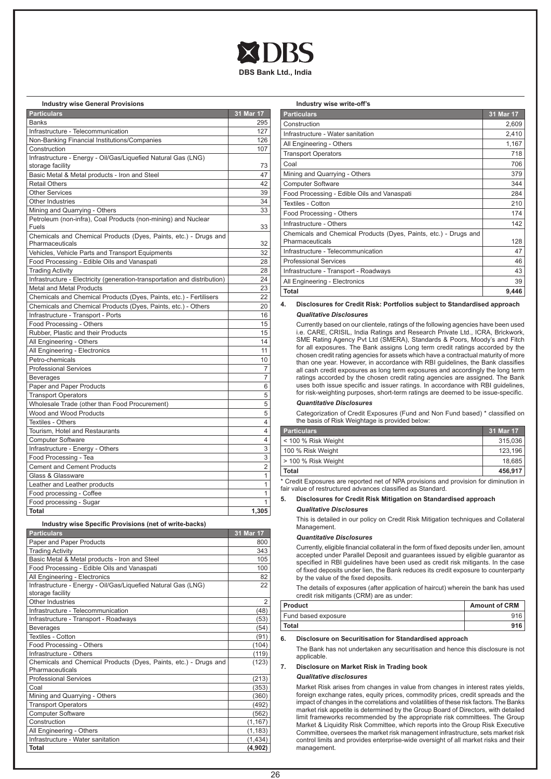

# **Industry wise General Provisions**

| <b>Particulars</b>                                                                  | 31 Mar 17      |
|-------------------------------------------------------------------------------------|----------------|
| <b>Banks</b>                                                                        | 295            |
| Infrastructure - Telecommunication                                                  | 127            |
| Non-Banking Financial Institutions/Companies                                        | 126            |
| Construction                                                                        | 107            |
| Infrastructure - Energy - Oil/Gas/Liquefied Natural Gas (LNG)                       |                |
| storage facility                                                                    | 73             |
| Basic Metal & Metal products - Iron and Steel                                       | 47             |
| <b>Retail Others</b>                                                                | 42             |
| <b>Other Services</b>                                                               | 39             |
| Other Industries                                                                    | 34             |
| Mining and Quarrying - Others                                                       | 33             |
| Petroleum (non-infra), Coal Products (non-mining) and Nuclear<br>Fuels              | 33             |
| Chemicals and Chemical Products (Dyes, Paints, etc.) - Drugs and<br>Pharmaceuticals | 32             |
| Vehicles, Vehicle Parts and Transport Equipments                                    | 32             |
| Food Processing - Edible Oils and Vanaspati                                         | 28             |
| <b>Trading Activity</b>                                                             | 28             |
| Infrastructure - Electricity (generation-transportation and distribution)           | 24             |
| <b>Metal and Metal Products</b>                                                     | 23             |
| Chemicals and Chemical Products (Dyes, Paints, etc.) - Fertilisers                  | 22             |
| Chemicals and Chemical Products (Dyes, Paints, etc.) - Others                       | 20             |
| Infrastructure - Transport - Ports                                                  | 16             |
| Food Processing - Others                                                            | 15             |
| Rubber, Plastic and their Products                                                  | 15             |
| All Engineering - Others                                                            | 14             |
| All Engineering - Electronics                                                       | 11             |
| Petro-chemicals                                                                     | 10             |
| <b>Professional Services</b>                                                        | $\overline{7}$ |
| <b>Beverages</b>                                                                    | 7              |
| Paper and Paper Products                                                            | 6              |
| <b>Transport Operators</b>                                                          | 5              |
| Wholesale Trade (other than Food Procurement)                                       | 5              |
| Wood and Wood Products                                                              | 5              |
| <b>Textiles - Others</b>                                                            | $\overline{4}$ |
| Tourism, Hotel and Restaurants                                                      | $\overline{4}$ |
| <b>Computer Software</b>                                                            | 4              |
| Infrastructure - Energy - Others                                                    | 3              |
| Food Processing - Tea                                                               | 3              |
| <b>Cement and Cement Products</b>                                                   | $\overline{2}$ |
| Glass & Glassware                                                                   | $\mathbf{1}$   |
| Leather and Leather products                                                        | 1              |
| Food processing - Coffee                                                            | 1              |
| Food processing - Sugar                                                             | $\mathbf{1}$   |
| <b>Total</b>                                                                        | 1,305          |

### **Industry wise Specific Provisions (net of write-backs)**

| <b>Particulars</b>                                                                  | 31 Mar 17 |
|-------------------------------------------------------------------------------------|-----------|
| Paper and Paper Products                                                            | 800       |
| <b>Trading Activity</b>                                                             | 343       |
| Basic Metal & Metal products - Iron and Steel                                       | 105       |
| Food Processing - Edible Oils and Vanaspati                                         | 100       |
| All Engineering - Electronics                                                       | 82        |
| Infrastructure - Energy - Oil/Gas/Liquefied Natural Gas (LNG)<br>storage facility   | 22        |
| Other Industries                                                                    | 2         |
| Infrastructure - Telecommunication                                                  | (48)      |
| Infrastructure - Transport - Roadways                                               | (53)      |
| <b>Beverages</b>                                                                    | (54)      |
| <b>Textiles - Cotton</b>                                                            | (91)      |
| Food Processing - Others                                                            | (104)     |
| Infrastructure - Others                                                             | (119)     |
| Chemicals and Chemical Products (Dyes, Paints, etc.) - Drugs and<br>Pharmaceuticals | (123)     |
| <b>Professional Services</b>                                                        | (213)     |
| Coal                                                                                | (353)     |
| Mining and Quarrying - Others                                                       | (360)     |
| <b>Transport Operators</b>                                                          | (492)     |
| <b>Computer Software</b>                                                            | (562)     |
| Construction                                                                        | (1, 167)  |
| All Engineering - Others                                                            | (1, 183)  |
| Infrastructure - Water sanitation                                                   | (1,434)   |
| Total                                                                               | (4,902)   |

#### **Industry wise write-off's**

| <b>Particulars</b>                                               | 31 Mar 17 |
|------------------------------------------------------------------|-----------|
| Construction                                                     | 2,609     |
| Infrastructure - Water sanitation                                | 2,410     |
| All Engineering - Others                                         | 1,167     |
| <b>Transport Operators</b>                                       | 718       |
| Coal                                                             | 706       |
| Mining and Quarrying - Others                                    | 379       |
| <b>Computer Software</b>                                         | 344       |
| Food Processing - Edible Oils and Vanaspati                      | 284       |
| Textiles - Cotton                                                | 210       |
| Food Processing - Others                                         | 174       |
| Infrastructure - Others                                          | 142       |
| Chemicals and Chemical Products (Dyes, Paints, etc.) - Drugs and |           |
| Pharmaceuticals                                                  | 128       |
| Infrastructure - Telecommunication                               | 47        |
| <b>Professional Services</b>                                     | 46        |
| Infrastructure - Transport - Roadways                            | 43        |
| All Engineering - Electronics                                    | 39        |
| <b>Total</b>                                                     | 9,446     |

### **4. Disclosures for Credit Risk: Portfolios subject to Standardised approach** *Qualitative Disclosures*

Currently based on our clientele, ratings of the following agencies have been used i.e. CARE, CRISIL, India Ratings and Research Private Ltd., ICRA, Brickwork, SME Rating Agency Pvt Ltd (SMERA), Standards & Poors, Moody's and Fitch for all exposures. The Bank assigns Long term credit ratings accorded by the chosen credit rating agencies for assets which have a contractual maturity of more than one year. However, in accordance with RBI guidelines, the Bank classifies all cash credit exposures as long term exposures and accordingly the long term ratings accorded by the chosen credit rating agencies are assigned. The Bank uses both issue specific and issuer ratings. In accordance with RBI guidelines, for risk-weighting purposes, short-term ratings are deemed to be issue-specific.

# *Quantitative Disclosures*

Categorization of Credit Exposures (Fund and Non Fund based) \* classified on the basis of Risk Weightage is provided below:

| <b>Particulars</b>    | 31 Mar 17 |
|-----------------------|-----------|
| < 100 % Risk Weight   | 315.036   |
| 100 % Risk Weight     | 123.196   |
| l > 100 % Risk Weight | 18.685    |
| Total                 | 456,917   |

\* Credit Exposures are reported net of NPA provisions and provision for diminution in fair value of restructured advances classified as Standard.

## **5. Disclosures for Credit Risk Mitigation on Standardised approach** *Qualitative Disclosures*

This is detailed in our policy on Credit Risk Mitigation techniques and Collateral Management.

#### *Quantitative Disclosures*

Currently, eligible financial collateral in the form of fixed deposits under lien, amount accepted under Parallel Deposit and guarantees issued by eligible guarantor as specified in RBI guidelines have been used as credit risk mitigants. In the case of fixed deposits under lien, the Bank reduces its credit exposure to counterparty by the value of the fixed deposits.

The details of exposures (after application of haircut) wherein the bank has used credit risk mitigants (CRM) are as under:

| Product             | <b>Amount of CRM</b> |
|---------------------|----------------------|
| Fund based exposure | 916                  |
| Total               | 916                  |

#### **6. Disclosure on Securitisation for Standardised approach**

The Bank has not undertaken any securitisation and hence this disclosure is not applicable.

# **7. Disclosure on Market Risk in Trading book**

# *Qualitative disclosures*

Market Risk arises from changes in value from changes in interest rates yields, foreign exchange rates, equity prices, commodity prices, credit spreads and the impact of changes in the correlations and volatilities of these risk factors. The Banks market risk appetite is determined by the Group Board of Directors, with detailed limit frameworks recommended by the appropriate risk committees. The Group Market & Liquidity Risk Committee, which reports into the Group Risk Executive Committee, oversees the market risk management infrastructure, sets market risk control limits and provides enterprise-wide oversight of all market risks and their management.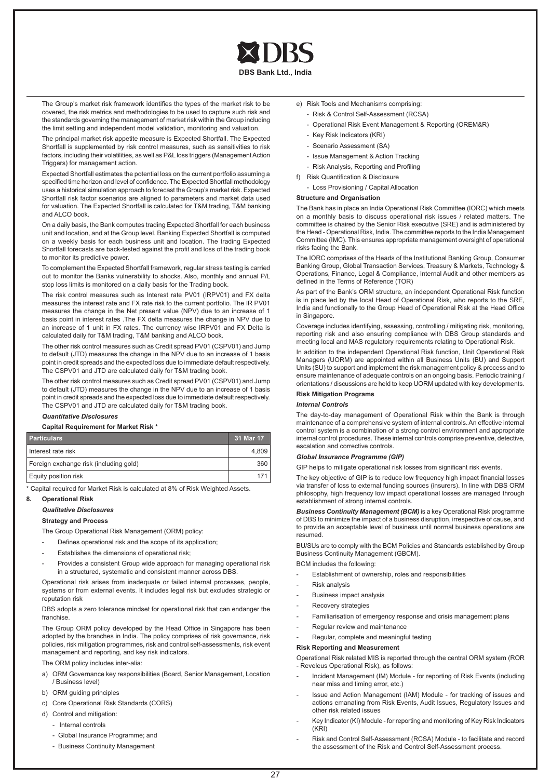

The Group's market risk framework identifies the types of the market risk to be covered, the risk metrics and methodologies to be used to capture such risk and the standards governing the management of market risk within the Group including the limit setting and independent model validation, monitoring and valuation.

The principal market risk appetite measure is Expected Shortfall. The Expected Shortfall is supplemented by risk control measures, such as sensitivities to risk factors, including their volatilities, as well as P&L loss triggers (Management Action Triggers) for management action.

Expected Shortfall estimates the potential loss on the current portfolio assuming a specified time horizon and level of confidence. The Expected Shortfall methodology uses a historical simulation approach to forecast the Group's market risk. Expected Shortfall risk factor scenarios are aligned to parameters and market data used for valuation. The Expected Shortfall is calculated for T&M trading, T&M banking and ALCO book.

On a daily basis, the Bank computes trading Expected Shortfall for each business unit and location, and at the Group level. Banking Expected Shortfall is computed on a weekly basis for each business unit and location. The trading Expected Shortfall forecasts are back-tested against the profit and loss of the trading book to monitor its predictive power.

To complement the Expected Shortfall framework, regular stress testing is carried out to monitor the Banks vulnerability to shocks. Also, monthly and annual P/L stop loss limits is monitored on a daily basis for the Trading book.

The risk control measures such as Interest rate PV01 (IRPV01) and FX delta measures the interest rate and FX rate risk to the current portfolio. The IR PV01 measures the change in the Net present value (NPV) due to an increase of 1 basis point in interest rates .The FX delta measures the change in NPV due to an increase of 1 unit in FX rates. The currency wise IRPV01 and FX Delta is calculated daily for T&M trading, T&M banking and ALCO book.

The other risk control measures such as Credit spread PV01 (CSPV01) and Jump to default (JTD) measures the change in the NPV due to an increase of 1 basis point in credit spreads and the expected loss due to immediate default respectively. The CSPV01 and JTD are calculated daily for T&M trading book.

The other risk control measures such as Credit spread PV01 (CSPV01) and Jump to default (JTD) measures the change in the NPV due to an increase of 1 basis point in credit spreads and the expected loss due to immediate default respectively. The CSPV01 and JTD are calculated daily for T&M trading book.

### *Quantitative Disclosures*

#### **Capital Requirement for Market Risk \***

| <b>Particulars</b>                     | 31 Mar 17 |
|----------------------------------------|-----------|
| I Interest rate risk                   | 4.809     |
| Foreign exchange risk (including gold) | 360       |
| Equity position risk                   | 171       |

\* Capital required for Market Risk is calculated at 8% of Risk Weighted Assets.

### **8. Operational Risk**

*Qualitative Disclosures*

#### **Strategy and Process**

The Group Operational Risk Management (ORM) policy:

- Defines operational risk and the scope of its application;
- Establishes the dimensions of operational risk;
- Provides a consistent Group wide approach for managing operational risk in a structured, systematic and consistent manner across DBS.

Operational risk arises from inadequate or failed internal processes, people, systems or from external events. It includes legal risk but excludes strategic or reputation risk

DBS adopts a zero tolerance mindset for operational risk that can endanger the franchise.

The Group ORM policy developed by the Head Office in Singapore has been adopted by the branches in India. The policy comprises of risk governance, risk policies, risk mitigation programmes, risk and control self-assessments, risk event management and reporting, and key risk indicators.

The ORM policy includes inter-alia:

- a) ORM Governance key responsibilities (Board, Senior Management, Location / Business level)
- b) ORM guiding principles
- c) Core Operational Risk Standards (CORS)
- d) Control and mitigation:
	- Internal controls
	- Global Insurance Programme; and
	- Business Continuity Management
- e) Risk Tools and Mechanisms comprising:
	- Risk & Control Self-Assessment (RCSA)
	- Operational Risk Event Management & Reporting (OREM&R)
	- Key Risk Indicators (KRI)
	- Scenario Assessment (SA)
	- Issue Management & Action Tracking
	- Risk Analysis, Reporting and Profiling
- f) Risk Quantification & Disclosure
	- Loss Provisioning / Capital Allocation

# **Structure and Organisation**

The Bank has in place an India Operational Risk Committee (IORC) which meets on a monthly basis to discuss operational risk issues / related matters. The committee is chaired by the Senior Risk executive (SRE) and is administered by the Head - Operational Risk, India. The committee reports to the India Management Committee (IMC). This ensures appropriate management oversight of operational risks facing the Bank.

The IORC comprises of the Heads of the Institutional Banking Group, Consumer Banking Group, Global Transaction Services, Treasury & Markets, Technology & Operations, Finance, Legal & Compliance, Internal Audit and other members as defined in the Terms of Reference (TOR)

As part of the Bank's ORM structure, an independent Operational Risk function is in place led by the local Head of Operational Risk, who reports to the SRE, India and functionally to the Group Head of Operational Risk at the Head Office in Singapore.

Coverage includes identifying, assessing, controlling / mitigating risk, monitoring, reporting risk and also ensuring compliance with DBS Group standards and meeting local and MAS regulatory requirements relating to Operational Risk.

In addition to the independent Operational Risk function, Unit Operational Risk Managers (UORM) are appointed within all Business Units (BU) and Support Units (SU) to support and implement the risk management policy & process and to ensure maintenance of adequate controls on an ongoing basis. Periodic training / orientations / discussions are held to keep UORM updated with key developments.

# **Risk Mitigation Programs**

### *Internal Controls*

The day-to-day management of Operational Risk within the Bank is through maintenance of a comprehensive system of internal controls. An effective internal control system is a combination of a strong control environment and appropriate internal control procedures. These internal controls comprise preventive, detective, escalation and corrective controls.

# *Global Insurance Programme (GIP)*

GIP helps to mitigate operational risk losses from significant risk events.

The key objective of GIP is to reduce low frequency high impact financial losses via transfer of loss to external funding sources (insurers). In line with DBS ORM philosophy, high frequency low impact operational losses are managed through establishment of strong internal controls.

*Business Continuity Management (BCM)* is a key Operational Risk programme of DBS to minimize the impact of a business disruption, irrespective of cause, and to provide an acceptable level of business until normal business operations are resumed.

BU/SUs are to comply with the BCM Policies and Standards established by Group Business Continuity Management (GBCM).

BCM includes the following:

- Establishment of ownership, roles and responsibilities
- Risk analysis
- Business impact analysis
- Recovery strategies
- Familiarisation of emergency response and crisis management plans
- Regular review and maintenance
- Regular, complete and meaningful testing

### **Risk Reporting and Measurement**

Operational Risk related MIS is reported through the central ORM system (ROR - Reveleus Operational Risk), as follows:

- Incident Management (IM) Module for reporting of Risk Events (including near miss and timing error, etc.)
- Issue and Action Management (IAM) Module for tracking of issues and actions emanating from Risk Events, Audit Issues, Regulatory Issues and other risk related issues
- Key Indicator (KI) Module for reporting and monitoring of Key Risk Indicators (KRI)
- Risk and Control Self-Assessment (RCSA) Module to facilitate and record the assessment of the Risk and Control Self-Assessment process.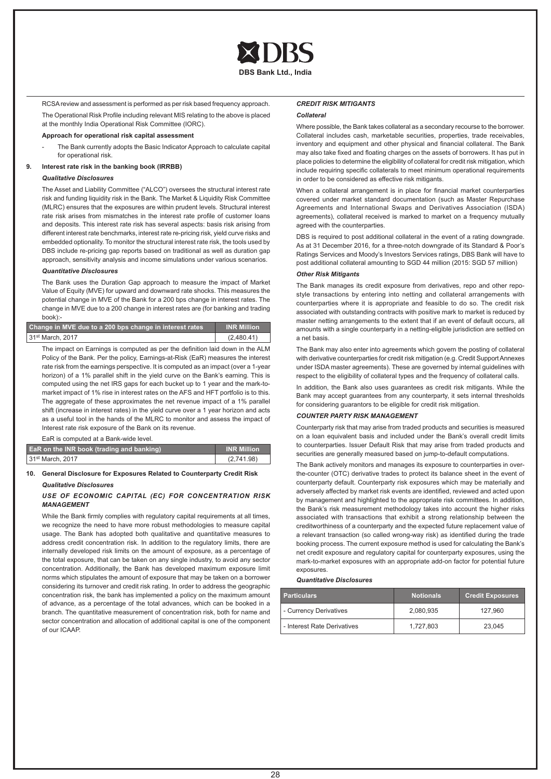

RCSA review and assessment is performed as per risk based frequency approach.

The Operational Risk Profile including relevant MIS relating to the above is placed at the monthly India Operational Risk Committee (IORC).

# **Approach for operational risk capital assessment**

The Bank currently adopts the Basic Indicator Approach to calculate capital for operational risk.

# **9. Interest rate risk in the banking book (IRRBB)**

### *Qualitative Disclosures*

The Asset and Liability Committee ("ALCO") oversees the structural interest rate risk and funding liquidity risk in the Bank. The Market & Liquidity Risk Committee (MLRC) ensures that the exposures are within prudent levels. Structural interest rate risk arises from mismatches in the interest rate profile of customer loans and deposits. This interest rate risk has several aspects: basis risk arising from different interest rate benchmarks, interest rate re-pricing risk, yield curve risks and embedded optionality. To monitor the structural interest rate risk, the tools used by DBS include re-pricing gap reports based on traditional as well as duration gap approach, sensitivity analysis and income simulations under various scenarios.

### *Quantitative Disclosures*

The Bank uses the Duration Gap approach to measure the impact of Market Value of Equity (MVE) for upward and downward rate shocks. This measures the potential change in MVE of the Bank for a 200 bps change in interest rates. The change in MVE due to a 200 change in interest rates are (for banking and trading book):-

| Change in MVE due to a 200 bps change in interest rates | <b>INR Million</b> |
|---------------------------------------------------------|--------------------|
| 31 <sup>st</sup> March, 2017                            | (2,480.41)         |

The impact on Earnings is computed as per the definition laid down in the ALM Policy of the Bank. Per the policy, Earnings-at-Risk (EaR) measures the interest rate risk from the earnings perspective. It is computed as an impact (over a 1-year horizon) of a 1% parallel shift in the yield curve on the Bank's earning. This is computed using the net IRS gaps for each bucket up to 1 year and the mark-tomarket impact of 1% rise in interest rates on the AFS and HFT portfolio is to this. The aggregate of these approximates the net revenue impact of a 1% parallel shift (increase in interest rates) in the yield curve over a 1 year horizon and acts as a useful tool in the hands of the MLRC to monitor and assess the impact of Interest rate risk exposure of the Bank on its revenue.

EaR is computed at a Bank-wide level.

| <b>EaR</b> on the INR book (trading and banking) | <b>INR Million</b> |
|--------------------------------------------------|--------------------|
| 31 <sup>st</sup> March, 2017                     | (2,741.98)         |

## **10. General Disclosure for Exposures Related to Counterparty Credit Risk** *Qualitative Disclosures*

# *USE OF ECONOMIC CAPITAL (EC) FOR CONCENTRATION RISK MANAGEMENT*

While the Bank firmly complies with regulatory capital requirements at all times, we recognize the need to have more robust methodologies to measure capital usage. The Bank has adopted both qualitative and quantitative measures to address credit concentration risk. In addition to the regulatory limits, there are internally developed risk limits on the amount of exposure, as a percentage of the total exposure, that can be taken on any single industry, to avoid any sector concentration. Additionally, the Bank has developed maximum exposure limit norms which stipulates the amount of exposure that may be taken on a borrower considering its turnover and credit risk rating. In order to address the geographic concentration risk, the bank has implemented a policy on the maximum amount of advance, as a percentage of the total advances, which can be booked in a branch. The quantitative measurement of concentration risk, both for name and sector concentration and allocation of additional capital is one of the component of our ICAAP.

### *CREDIT RISK MITIGANTS*

### *Collateral*

Where possible, the Bank takes collateral as a secondary recourse to the borrower. Collateral includes cash, marketable securities, properties, trade receivables, inventory and equipment and other physical and financial collateral. The Bank may also take fixed and floating charges on the assets of borrowers. It has put in place policies to determine the eligibility of collateral for credit risk mitigation, which include requiring specific collaterals to meet minimum operational requirements in order to be considered as effective risk mitigants.

When a collateral arrangement is in place for financial market counterparties covered under market standard documentation (such as Master Repurchase Agreements and International Swaps and Derivatives Association (ISDA) agreements), collateral received is marked to market on a frequency mutually agreed with the counterparties.

DBS is required to post additional collateral in the event of a rating downgrade. As at 31 December 2016, for a three-notch downgrade of its Standard & Poor's Ratings Services and Moody's Investors Services ratings, DBS Bank will have to post additional collateral amounting to SGD 44 million (2015: SGD 57 million)

### *Other Risk Mitigants*

The Bank manages its credit exposure from derivatives, repo and other repostyle transactions by entering into netting and collateral arrangements with counterparties where it is appropriate and feasible to do so. The credit risk associated with outstanding contracts with positive mark to market is reduced by master netting arrangements to the extent that if an event of default occurs, all amounts with a single counterparty in a netting-eligible jurisdiction are settled on a net basis.

The Bank may also enter into agreements which govern the posting of collateral with derivative counterparties for credit risk mitigation (e.g. Credit Support Annexes under ISDA master agreements). These are governed by internal guidelines with respect to the eligibility of collateral types and the frequency of collateral calls.

In addition, the Bank also uses guarantees as credit risk mitigants. While the Bank may accept guarantees from any counterparty, it sets internal thresholds for considering guarantors to be eligible for credit risk mitigation.

# *COUNTER PARTY RISK MANAGEMENT*

Counterparty risk that may arise from traded products and securities is measured on a loan equivalent basis and included under the Bank's overall credit limits to counterparties. Issuer Default Risk that may arise from traded products and securities are generally measured based on jump-to-default computations.

The Bank actively monitors and manages its exposure to counterparties in overthe-counter (OTC) derivative trades to protect its balance sheet in the event of counterparty default. Counterparty risk exposures which may be materially and adversely affected by market risk events are identified, reviewed and acted upon by management and highlighted to the appropriate risk committees. In addition, the Bank's risk measurement methodology takes into account the higher risks associated with transactions that exhibit a strong relationship between the creditworthiness of a counterparty and the expected future replacement value of a relevant transaction (so called wrong-way risk) as identified during the trade booking process. The current exposure method is used for calculating the Bank's net credit exposure and regulatory capital for counterparty exposures, using the mark-to-market exposures with an appropriate add-on factor for potential future exposures.

#### *Quantitative Disclosures*

| <b>Particulars</b>          | <b>Notionals</b> | <b>Credit Exposures</b> |
|-----------------------------|------------------|-------------------------|
| - Currency Derivatives      | 2,080,935        | 127.960                 |
| - Interest Rate Derivatives | 1.727.803        | 23.045                  |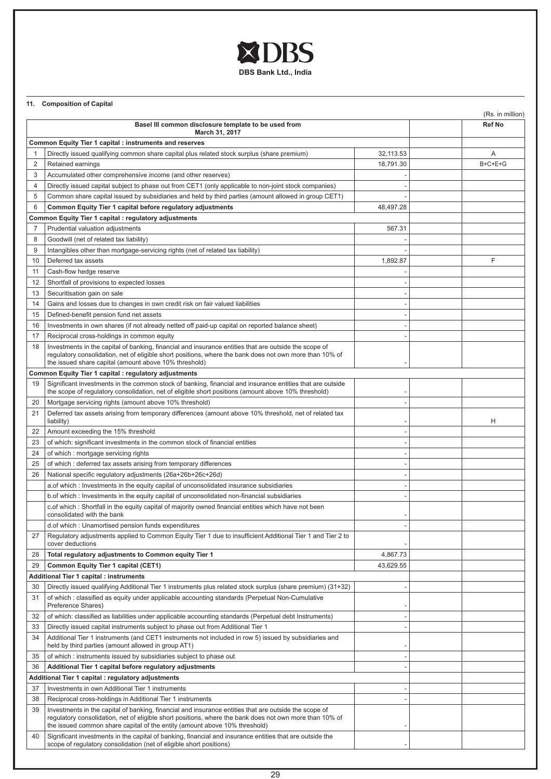

# **11. Composition of Capital**

|                                                                        |                                                                                                                                                                                                                                                                                                |           |  | (Rs. in million) |
|------------------------------------------------------------------------|------------------------------------------------------------------------------------------------------------------------------------------------------------------------------------------------------------------------------------------------------------------------------------------------|-----------|--|------------------|
| Basel III common disclosure template to be used from<br>March 31, 2017 |                                                                                                                                                                                                                                                                                                |           |  | Ref No           |
|                                                                        | Common Equity Tier 1 capital : instruments and reserves                                                                                                                                                                                                                                        |           |  |                  |
| $\mathbf{1}$                                                           | Directly issued qualifying common share capital plus related stock surplus (share premium)                                                                                                                                                                                                     | 32,113.53 |  | A                |
| 2                                                                      | Retained earnings                                                                                                                                                                                                                                                                              | 18,791.30 |  | $B+C+E+G$        |
| 3                                                                      | Accumulated other comprehensive income (and other reserves)                                                                                                                                                                                                                                    |           |  |                  |
| 4                                                                      | Directly issued capital subject to phase out from CET1 (only applicable to non-joint stock companies)                                                                                                                                                                                          |           |  |                  |
| 5                                                                      | Common share capital issued by subsidiaries and held by third parties (amount allowed in group CET1)                                                                                                                                                                                           |           |  |                  |
| 6                                                                      | Common Equity Tier 1 capital before regulatory adjustments                                                                                                                                                                                                                                     | 48,497.28 |  |                  |
|                                                                        | Common Equity Tier 1 capital : regulatory adjustments                                                                                                                                                                                                                                          |           |  |                  |
| 7                                                                      | Prudential valuation adjustments                                                                                                                                                                                                                                                               | 567.31    |  |                  |
| 8                                                                      | Goodwill (net of related tax liability)                                                                                                                                                                                                                                                        |           |  |                  |
| 9                                                                      | Intangibles other than mortgage-servicing rights (net of related tax liability)                                                                                                                                                                                                                |           |  |                  |
| 10                                                                     | Deferred tax assets                                                                                                                                                                                                                                                                            | 1,892.87  |  | F                |
| 11                                                                     | Cash-flow hedge reserve                                                                                                                                                                                                                                                                        |           |  |                  |
| 12                                                                     | Shortfall of provisions to expected losses                                                                                                                                                                                                                                                     |           |  |                  |
| 13                                                                     | Securitisation gain on sale                                                                                                                                                                                                                                                                    |           |  |                  |
| 14                                                                     | Gains and losses due to changes in own credit risk on fair valued liabilities                                                                                                                                                                                                                  |           |  |                  |
| 15                                                                     | Defined-benefit pension fund net assets                                                                                                                                                                                                                                                        |           |  |                  |
| 16                                                                     | Investments in own shares (if not already netted off paid-up capital on reported balance sheet)                                                                                                                                                                                                |           |  |                  |
| 17                                                                     | Reciprocal cross-holdings in common equity                                                                                                                                                                                                                                                     |           |  |                  |
| 18                                                                     | Investments in the capital of banking, financial and insurance entities that are outside the scope of<br>regulatory consolidation, net of eligible short positions, where the bank does not own more than 10% of<br>the issued share capital (amount above 10% threshold)                      |           |  |                  |
|                                                                        | <b>Common Equity Tier 1 capital : regulatory adjustments</b>                                                                                                                                                                                                                                   |           |  |                  |
| 19                                                                     | Significant investments in the common stock of banking, financial and insurance entities that are outside<br>the scope of regulatory consolidation, net of eligible short positions (amount above 10% threshold)                                                                               |           |  |                  |
| 20                                                                     | Mortgage servicing rights (amount above 10% threshold)                                                                                                                                                                                                                                         |           |  |                  |
| 21                                                                     | Deferred tax assets arising from temporary differences (amount above 10% threshold, net of related tax<br>liability)                                                                                                                                                                           |           |  | Н                |
| 22                                                                     | Amount exceeding the 15% threshold                                                                                                                                                                                                                                                             |           |  |                  |
| 23                                                                     | of which: significant investments in the common stock of financial entities                                                                                                                                                                                                                    |           |  |                  |
| 24                                                                     | of which: mortgage servicing rights                                                                                                                                                                                                                                                            |           |  |                  |
| 25                                                                     | of which: deferred tax assets arising from temporary differences                                                                                                                                                                                                                               |           |  |                  |
| 26                                                                     | National specific regulatory adjustments (26a+26b+26c+26d)                                                                                                                                                                                                                                     |           |  |                  |
|                                                                        | a.of which: Investments in the equity capital of unconsolidated insurance subsidiaries                                                                                                                                                                                                         |           |  |                  |
|                                                                        | b.of which: Investments in the equity capital of unconsolidated non-financial subsidiaries                                                                                                                                                                                                     |           |  |                  |
|                                                                        | c.of which : Shortfall in the equity capital of majority owned financial entities which have not been<br>consolidated with the bank                                                                                                                                                            |           |  |                  |
|                                                                        | d.of which: Unamortised pension funds expenditures                                                                                                                                                                                                                                             |           |  |                  |
| 27                                                                     | Regulatory adjustments applied to Common Equity Tier 1 due to insufficient Additional Tier 1 and Tier 2 to<br>cover deductions                                                                                                                                                                 |           |  |                  |
| 28                                                                     | Total regulatory adjustments to Common equity Tier 1                                                                                                                                                                                                                                           | 4,867.73  |  |                  |
| 29                                                                     | Common Equity Tier 1 capital (CET1)                                                                                                                                                                                                                                                            | 43,629.55 |  |                  |
|                                                                        | Additional Tier 1 capital : instruments                                                                                                                                                                                                                                                        |           |  |                  |
| 30<br>31                                                               | Directly issued qualifying Additional Tier 1 instruments plus related stock surplus (share premium) (31+32)<br>of which: classified as equity under applicable accounting standards (Perpetual Non-Cumulative                                                                                  |           |  |                  |
| 32                                                                     | Preference Shares)<br>of which: classified as liabilities under applicable accounting standards (Perpetual debt Instruments)                                                                                                                                                                   |           |  |                  |
| 33                                                                     | Directly issued capital instruments subject to phase out from Additional Tier 1                                                                                                                                                                                                                |           |  |                  |
| 34                                                                     | Additional Tier 1 instruments (and CET1 instruments not included in row 5) issued by subsidiaries and                                                                                                                                                                                          |           |  |                  |
|                                                                        | held by third parties (amount allowed in group AT1)                                                                                                                                                                                                                                            |           |  |                  |
| 35                                                                     | of which: instruments issued by subsidiaries subject to phase out                                                                                                                                                                                                                              |           |  |                  |
| 36                                                                     | Additional Tier 1 capital before regulatory adjustments                                                                                                                                                                                                                                        |           |  |                  |
|                                                                        | Additional Tier 1 capital : regulatory adjustments                                                                                                                                                                                                                                             |           |  |                  |
| 37                                                                     | Investments in own Additional Tier 1 instruments                                                                                                                                                                                                                                               |           |  |                  |
| 38                                                                     | Reciprocal cross-holdings in Additional Tier 1 instruments                                                                                                                                                                                                                                     |           |  |                  |
| 39                                                                     | Investments in the capital of banking, financial and insurance entities that are outside the scope of<br>regulatory consolidation, net of eligible short positions, where the bank does not own more than 10% of<br>the issued common share capital of the entity (amount above 10% threshold) |           |  |                  |
| 40                                                                     | Significant investments in the capital of banking, financial and insurance entities that are outside the<br>scope of regulatory consolidation (net of eligible short positions)                                                                                                                |           |  |                  |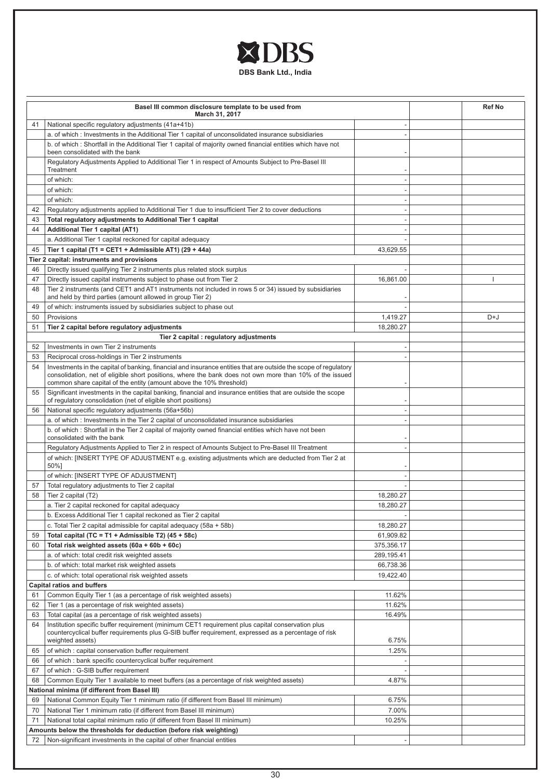

|    | Basel III common disclosure template to be used from<br>March 31, 2017                                                                                                                                                                                                                             | <b>Ref No</b> |     |
|----|----------------------------------------------------------------------------------------------------------------------------------------------------------------------------------------------------------------------------------------------------------------------------------------------------|---------------|-----|
| 41 | National specific regulatory adjustments (41a+41b)                                                                                                                                                                                                                                                 |               |     |
|    | a. of which: Investments in the Additional Tier 1 capital of unconsolidated insurance subsidiaries                                                                                                                                                                                                 |               |     |
|    | b. of which: Shortfall in the Additional Tier 1 capital of majority owned financial entities which have not<br>been consolidated with the bank                                                                                                                                                     |               |     |
|    | Regulatory Adjustments Applied to Additional Tier 1 in respect of Amounts Subject to Pre-Basel III<br>Treatment                                                                                                                                                                                    |               |     |
|    | of which:                                                                                                                                                                                                                                                                                          |               |     |
|    | of which:                                                                                                                                                                                                                                                                                          |               |     |
|    | of which:                                                                                                                                                                                                                                                                                          |               |     |
| 42 | Regulatory adjustments applied to Additional Tier 1 due to insufficient Tier 2 to cover deductions                                                                                                                                                                                                 |               |     |
| 43 | Total regulatory adjustments to Additional Tier 1 capital                                                                                                                                                                                                                                          |               |     |
| 44 | <b>Additional Tier 1 capital (AT1)</b>                                                                                                                                                                                                                                                             |               |     |
|    | a. Additional Tier 1 capital reckoned for capital adequacy                                                                                                                                                                                                                                         |               |     |
| 45 | Tier 1 capital (T1 = CET1 + Admissible AT1) (29 + 44a)                                                                                                                                                                                                                                             | 43,629.55     |     |
|    | Tier 2 capital: instruments and provisions                                                                                                                                                                                                                                                         |               |     |
| 46 | Directly issued qualifying Tier 2 instruments plus related stock surplus                                                                                                                                                                                                                           |               |     |
| 47 | Directly issued capital instruments subject to phase out from Tier 2                                                                                                                                                                                                                               | 16,861.00     |     |
| 48 | Tier 2 instruments (and CET1 and AT1 instruments not included in rows 5 or 34) issued by subsidiaries<br>and held by third parties (amount allowed in group Tier 2)                                                                                                                                |               |     |
| 49 | of which: instruments issued by subsidiaries subject to phase out                                                                                                                                                                                                                                  |               |     |
| 50 | Provisions                                                                                                                                                                                                                                                                                         | 1,419.27      | D+J |
| 51 | Tier 2 capital before regulatory adjustments                                                                                                                                                                                                                                                       | 18,280.27     |     |
|    | Tier 2 capital : regulatory adjustments                                                                                                                                                                                                                                                            |               |     |
| 52 | Investments in own Tier 2 instruments                                                                                                                                                                                                                                                              |               |     |
| 53 | Reciprocal cross-holdings in Tier 2 instruments                                                                                                                                                                                                                                                    |               |     |
| 54 | Investments in the capital of banking, financial and insurance entities that are outside the scope of regulatory<br>consolidation, net of eligible short positions, where the bank does not own more than 10% of the issued<br>common share capital of the entity (amount above the 10% threshold) |               |     |
| 55 | Significant investments in the capital banking, financial and insurance entities that are outside the scope<br>of regulatory consolidation (net of eligible short positions)                                                                                                                       |               |     |
| 56 | National specific regulatory adjustments (56a+56b)                                                                                                                                                                                                                                                 |               |     |
|    | a. of which : Investments in the Tier 2 capital of unconsolidated insurance subsidiaries                                                                                                                                                                                                           |               |     |
|    | b. of which : Shortfall in the Tier 2 capital of majority owned financial entities which have not been<br>consolidated with the bank                                                                                                                                                               |               |     |
|    | Regulatory Adjustments Applied to Tier 2 in respect of Amounts Subject to Pre-Basel III Treatment                                                                                                                                                                                                  |               |     |
|    | of which: [INSERT TYPE OF ADJUSTMENT e.g. existing adjustments which are deducted from Tier 2 at<br>50%]                                                                                                                                                                                           |               |     |
|    | of which: [INSERT TYPE OF ADJUSTMENT]                                                                                                                                                                                                                                                              |               |     |
| 57 | Total regulatory adjustments to Tier 2 capital                                                                                                                                                                                                                                                     |               |     |
| 58 | Tier 2 capital (T2)                                                                                                                                                                                                                                                                                | 18.280.27     |     |
|    | a. Tier 2 capital reckoned for capital adequacy                                                                                                                                                                                                                                                    | 18,280.27     |     |
|    | b. Excess Additional Tier 1 capital reckoned as Tier 2 capital                                                                                                                                                                                                                                     |               |     |
|    | c. Total Tier 2 capital admissible for capital adequacy (58a + 58b)                                                                                                                                                                                                                                | 18,280.27     |     |
| 59 | Total capital (TC = T1 + Admissible T2) $(45 + 58c)$                                                                                                                                                                                                                                               | 61,909.82     |     |
| 60 | Total risk weighted assets (60a + 60b + 60c)                                                                                                                                                                                                                                                       | 375,356.17    |     |
|    | a. of which: total credit risk weighted assets                                                                                                                                                                                                                                                     | 289,195.41    |     |
|    | b. of which: total market risk weighted assets                                                                                                                                                                                                                                                     | 66,738.36     |     |
|    | c. of which: total operational risk weighted assets                                                                                                                                                                                                                                                | 19,422.40     |     |
|    | <b>Capital ratios and buffers</b>                                                                                                                                                                                                                                                                  |               |     |
| 61 | Common Equity Tier 1 (as a percentage of risk weighted assets)                                                                                                                                                                                                                                     | 11.62%        |     |
| 62 | Tier 1 (as a percentage of risk weighted assets)                                                                                                                                                                                                                                                   | 11.62%        |     |
| 63 | Total capital (as a percentage of risk weighted assets)                                                                                                                                                                                                                                            | 16.49%        |     |
| 64 | Institution specific buffer requirement (minimum CET1 requirement plus capital conservation plus<br>countercyclical buffer requirements plus G-SIB buffer requirement, expressed as a percentage of risk<br>weighted assets)                                                                       | 6.75%         |     |
| 65 | of which: capital conservation buffer requirement                                                                                                                                                                                                                                                  | 1.25%         |     |
| 66 | of which: bank specific countercyclical buffer requirement                                                                                                                                                                                                                                         |               |     |
| 67 | of which: G-SIB buffer requirement                                                                                                                                                                                                                                                                 |               |     |
| 68 | Common Equity Tier 1 available to meet buffers (as a percentage of risk weighted assets)                                                                                                                                                                                                           | 4.87%         |     |
|    | <b>National minima (if different from Basel III)</b>                                                                                                                                                                                                                                               |               |     |
| 69 | National Common Equity Tier 1 minimum ratio (if different from Basel III minimum)                                                                                                                                                                                                                  | 6.75%         |     |
| 70 | National Tier 1 minimum ratio (if different from Basel III minimum)                                                                                                                                                                                                                                | 7.00%         |     |
| 71 | National total capital minimum ratio (if different from Basel III minimum)                                                                                                                                                                                                                         | 10.25%        |     |
|    | Amounts below the thresholds for deduction (before risk weighting)                                                                                                                                                                                                                                 |               |     |
| 72 | Non-significant investments in the capital of other financial entities                                                                                                                                                                                                                             |               |     |
|    |                                                                                                                                                                                                                                                                                                    |               |     |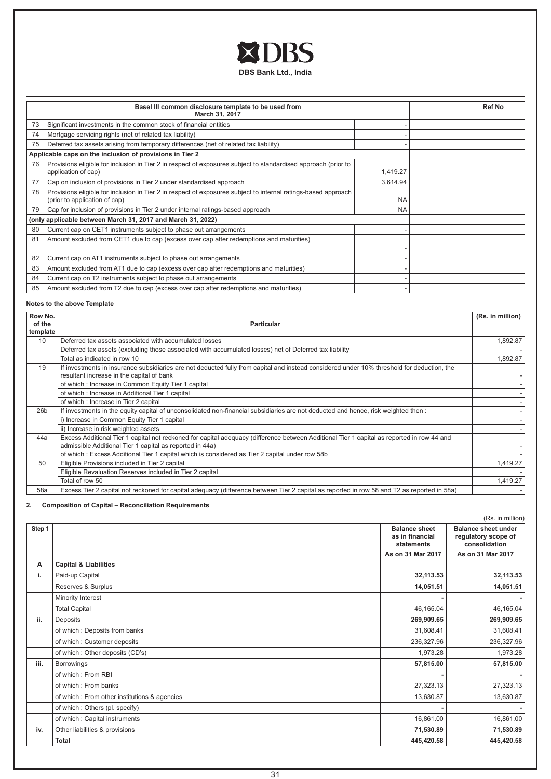

|    | Basel III common disclosure template to be used from<br>March 31, 2017                                                                          | <b>Ref No</b> |  |
|----|-------------------------------------------------------------------------------------------------------------------------------------------------|---------------|--|
| 73 | Significant investments in the common stock of financial entities                                                                               |               |  |
| 74 | Mortgage servicing rights (net of related tax liability)                                                                                        |               |  |
| 75 | Deferred tax assets arising from temporary differences (net of related tax liability)                                                           |               |  |
|    | Applicable caps on the inclusion of provisions in Tier 2                                                                                        |               |  |
| 76 | Provisions eligible for inclusion in Tier 2 in respect of exposures subject to standardised approach (prior to<br>application of cap)           | 1,419.27      |  |
| 77 | Cap on inclusion of provisions in Tier 2 under standardised approach                                                                            | 3,614.94      |  |
| 78 | Provisions eligible for inclusion in Tier 2 in respect of exposures subject to internal ratings-based approach<br>(prior to application of cap) | <b>NA</b>     |  |
| 79 | Cap for inclusion of provisions in Tier 2 under internal ratings-based approach                                                                 | <b>NA</b>     |  |
|    | (only applicable between March 31, 2017 and March 31, 2022)                                                                                     |               |  |
| 80 | Current cap on CET1 instruments subject to phase out arrangements                                                                               |               |  |
| 81 | Amount excluded from CET1 due to cap (excess over cap after redemptions and maturities)                                                         |               |  |
| 82 | Current cap on AT1 instruments subject to phase out arrangements                                                                                |               |  |
| 83 | Amount excluded from AT1 due to cap (excess over cap after redemptions and maturities)                                                          |               |  |
| 84 | Current cap on T2 instruments subject to phase out arrangements                                                                                 |               |  |
| 85 | Amount excluded from T2 due to cap (excess over cap after redemptions and maturities)                                                           |               |  |

# **Notes to the above Template**

| Row No.         |                                                                                                                                                                                                        | (Rs. in million) |
|-----------------|--------------------------------------------------------------------------------------------------------------------------------------------------------------------------------------------------------|------------------|
| of the          | <b>Particular</b>                                                                                                                                                                                      |                  |
| template        |                                                                                                                                                                                                        |                  |
| 10              | Deferred tax assets associated with accumulated losses                                                                                                                                                 | 1,892.87         |
|                 | Deferred tax assets (excluding those associated with accumulated losses) net of Deferred tax liability                                                                                                 |                  |
|                 | Total as indicated in row 10                                                                                                                                                                           | 1,892.87         |
| 19              | If investments in insurance subsidiaries are not deducted fully from capital and instead considered under 10% threshold for deduction, the                                                             |                  |
|                 | resultant increase in the capital of bank                                                                                                                                                              |                  |
|                 | of which: Increase in Common Equity Tier 1 capital                                                                                                                                                     |                  |
|                 | of which: Increase in Additional Tier 1 capital                                                                                                                                                        |                  |
|                 | of which: Increase in Tier 2 capital                                                                                                                                                                   |                  |
| 26 <sub>b</sub> | If investments in the equity capital of unconsolidated non-financial subsidiaries are not deducted and hence, risk weighted then :                                                                     |                  |
|                 | i) Increase in Common Equity Tier 1 capital                                                                                                                                                            |                  |
|                 | ii) Increase in risk weighted assets                                                                                                                                                                   |                  |
| 44a             | Excess Additional Tier 1 capital not reckoned for capital adequacy (difference between Additional Tier 1 capital as reported in row 44 and<br>admissible Additional Tier 1 capital as reported in 44a) |                  |
|                 | of which: Excess Additional Tier 1 capital which is considered as Tier 2 capital under row 58b                                                                                                         |                  |
| 50              | Eligible Provisions included in Tier 2 capital                                                                                                                                                         | 1,419.27         |
|                 | Eligible Revaluation Reserves included in Tier 2 capital                                                                                                                                               |                  |
|                 | Total of row 50                                                                                                                                                                                        | 1,419.27         |
| 58a             | Excess Tier 2 capital not reckoned for capital adequacy (difference between Tier 2 capital as reported in row 58 and T2 as reported in 58a)                                                            |                  |

# **2. Composition of Capital – Reconciliation Requirements**

|        |                                              |                                         | (Rs. in million)                                  |
|--------|----------------------------------------------|-----------------------------------------|---------------------------------------------------|
| Step 1 |                                              | <b>Balance sheet</b><br>as in financial | <b>Balance sheet under</b><br>regulatory scope of |
|        |                                              | statements                              | consolidation                                     |
|        |                                              | As on 31 Mar 2017                       | As on 31 Mar 2017                                 |
| A      | <b>Capital &amp; Liabilities</b>             |                                         |                                                   |
| i.     | Paid-up Capital                              | 32,113.53                               | 32,113.53                                         |
|        | Reserves & Surplus                           | 14,051.51                               | 14,051.51                                         |
|        | Minority Interest                            |                                         |                                                   |
|        | <b>Total Capital</b>                         | 46,165.04                               | 46,165.04                                         |
| ii.    | Deposits                                     | 269,909.65                              | 269,909.65                                        |
|        | of which: Deposits from banks                | 31,608.41                               | 31,608.41                                         |
|        | of which: Customer deposits                  | 236,327.96                              | 236,327.96                                        |
|        | of which: Other deposits (CD's)              | 1,973.28                                | 1,973.28                                          |
| iii.   | <b>Borrowings</b>                            | 57,815.00                               | 57,815.00                                         |
|        | of which: From RBI                           |                                         |                                                   |
|        | of which: From banks                         | 27,323.13                               | 27,323.13                                         |
|        | of which: From other institutions & agencies | 13,630.87                               | 13,630.87                                         |
|        | of which: Others (pl. specify)               |                                         | $\sim$                                            |
|        | of which: Capital instruments                | 16,861.00                               | 16,861.00                                         |
| iv.    | Other liabilities & provisions               | 71,530.89                               | 71,530.89                                         |
|        | <b>Total</b>                                 | 445,420.58                              | 445,420.58                                        |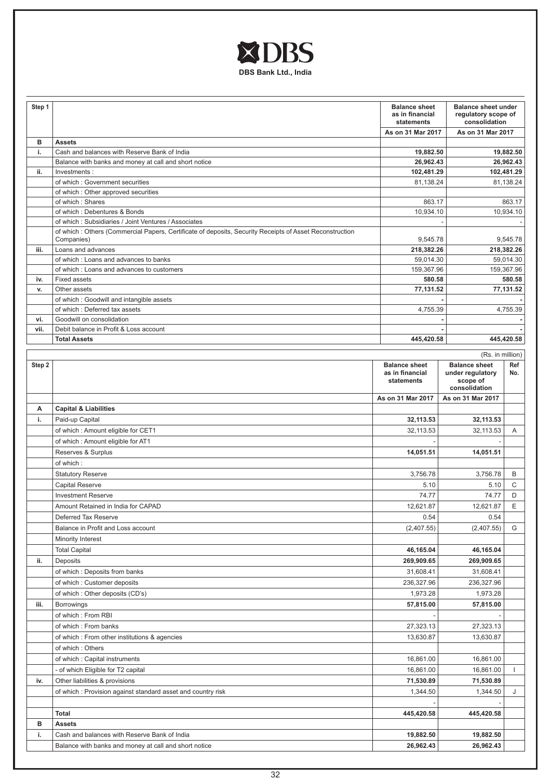

| Step 1 |                                                                                                          | <b>Balance sheet</b><br>as in financial<br>statements | <b>Balance sheet under</b><br>regulatory scope of<br>consolidation    |                        |
|--------|----------------------------------------------------------------------------------------------------------|-------------------------------------------------------|-----------------------------------------------------------------------|------------------------|
|        |                                                                                                          | As on 31 Mar 2017                                     | As on 31 Mar 2017                                                     |                        |
| в      | <b>Assets</b>                                                                                            |                                                       |                                                                       |                        |
| i.     | Cash and balances with Reserve Bank of India                                                             | 19,882.50<br>26,962.43                                |                                                                       | 19,882.50<br>26,962.43 |
| ii.    | Balance with banks and money at call and short notice<br>Investments:                                    | 102,481.29                                            |                                                                       | 102,481.29             |
|        | of which: Government securities                                                                          | 81,138.24                                             |                                                                       | 81,138.24              |
|        | of which: Other approved securities                                                                      |                                                       |                                                                       |                        |
|        | of which: Shares                                                                                         | 863.17                                                |                                                                       | 863.17                 |
|        | of which : Debentures & Bonds                                                                            | 10,934.10                                             |                                                                       | 10,934.10              |
|        | of which: Subsidiaries / Joint Ventures / Associates                                                     |                                                       |                                                                       |                        |
|        | of which : Others (Commercial Papers, Certificate of deposits, Security Receipts of Asset Reconstruction |                                                       |                                                                       |                        |
|        | Companies)                                                                                               | 9,545.78                                              |                                                                       | 9,545.78               |
| iii.   | Loans and advances                                                                                       | 218,382.26                                            |                                                                       | 218,382.26             |
|        | of which: Loans and advances to banks                                                                    | 59,014.30                                             |                                                                       | 59,014.30              |
|        | of which: Loans and advances to customers                                                                | 159,367.96                                            |                                                                       | 159,367.96             |
| iv.    | <b>Fixed assets</b>                                                                                      | 580.58                                                |                                                                       | 580.58                 |
| v.     | Other assets                                                                                             | 77,131.52                                             |                                                                       | 77,131.52              |
|        | of which: Goodwill and intangible assets                                                                 |                                                       |                                                                       |                        |
|        | of which: Deferred tax assets                                                                            | 4,755.39                                              |                                                                       | 4,755.39               |
| vi.    | Goodwill on consolidation                                                                                |                                                       |                                                                       |                        |
| vii.   | Debit balance in Profit & Loss account                                                                   |                                                       |                                                                       |                        |
|        | <b>Total Assets</b>                                                                                      | 445,420.58                                            |                                                                       | 445,420.58             |
|        |                                                                                                          |                                                       | (Rs. in million)                                                      |                        |
| Step 2 |                                                                                                          | <b>Balance sheet</b><br>as in financial<br>statements | <b>Balance sheet</b><br>under regulatory<br>scope of<br>consolidation | Ref<br>No.             |
|        |                                                                                                          | As on 31 Mar 2017                                     | As on 31 Mar 2017                                                     |                        |
| А      | <b>Capital &amp; Liabilities</b>                                                                         |                                                       |                                                                       |                        |
| i.     | Paid-up Capital                                                                                          | 32,113.53                                             | 32,113.53                                                             |                        |
|        | of which: Amount eligible for CET1                                                                       | 32,113.53                                             | 32,113.53                                                             | Α                      |
|        | of which: Amount eligible for AT1                                                                        |                                                       |                                                                       |                        |
|        | Reserves & Surplus                                                                                       | 14,051.51                                             | 14,051.51                                                             |                        |
|        | of which:                                                                                                |                                                       |                                                                       |                        |
|        | <b>Statutory Reserve</b>                                                                                 | 3,756.78                                              | 3,756.78                                                              | B                      |
|        | Capital Reserve                                                                                          | 5.10                                                  | 5.10                                                                  | C                      |
|        | <b>Investment Reserve</b>                                                                                | 74.77                                                 | 74.77                                                                 | D                      |
|        |                                                                                                          | 12,621.87                                             | 12,621.87                                                             | E                      |
|        | Amount Retained in India for CAPAD                                                                       |                                                       |                                                                       |                        |
|        | Deferred Tax Reserve                                                                                     | 0.54                                                  | 0.54                                                                  |                        |
|        | Balance in Profit and Loss account                                                                       | (2,407.55)                                            | (2,407.55)                                                            | G                      |
|        | Minority Interest                                                                                        |                                                       |                                                                       |                        |
|        | <b>Total Capital</b>                                                                                     | 46,165.04                                             | 46,165.04                                                             |                        |
| ii.    | Deposits                                                                                                 | 269,909.65                                            | 269,909.65                                                            |                        |
|        | of which: Deposits from banks                                                                            | 31,608.41                                             | 31,608.41                                                             |                        |
|        | of which: Customer deposits                                                                              | 236,327.96                                            | 236,327.96                                                            |                        |
|        | of which: Other deposits (CD's)                                                                          | 1,973.28                                              | 1,973.28                                                              |                        |
| iii.   | <b>Borrowings</b>                                                                                        | 57,815.00                                             | 57,815.00                                                             |                        |
|        | of which: From RBI                                                                                       |                                                       |                                                                       |                        |
|        | of which: From banks                                                                                     | 27,323.13                                             | 27,323.13                                                             |                        |
|        | of which: From other institutions & agencies                                                             | 13,630.87                                             | 13,630.87                                                             |                        |
|        | of which: Others                                                                                         |                                                       |                                                                       |                        |
|        | of which: Capital instruments                                                                            | 16,861.00                                             | 16,861.00                                                             |                        |
|        | - of which Eligible for T2 capital                                                                       | 16,861.00                                             | 16,861.00                                                             | $\mathbf{I}$           |
| iv.    | Other liabilities & provisions                                                                           | 71,530.89                                             | 71,530.89                                                             |                        |
|        |                                                                                                          |                                                       |                                                                       |                        |
|        | of which: Provision against standard asset and country risk                                              | 1,344.50                                              | 1,344.50                                                              | J                      |
|        |                                                                                                          |                                                       |                                                                       |                        |
|        | <b>Total</b>                                                                                             | 445,420.58                                            | 445,420.58                                                            |                        |
| в      | <b>Assets</b>                                                                                            |                                                       |                                                                       |                        |
| i.     | Cash and balances with Reserve Bank of India                                                             | 19,882.50                                             | 19,882.50                                                             |                        |
|        | Balance with banks and money at call and short notice                                                    | 26,962.43                                             | 26,962.43                                                             |                        |